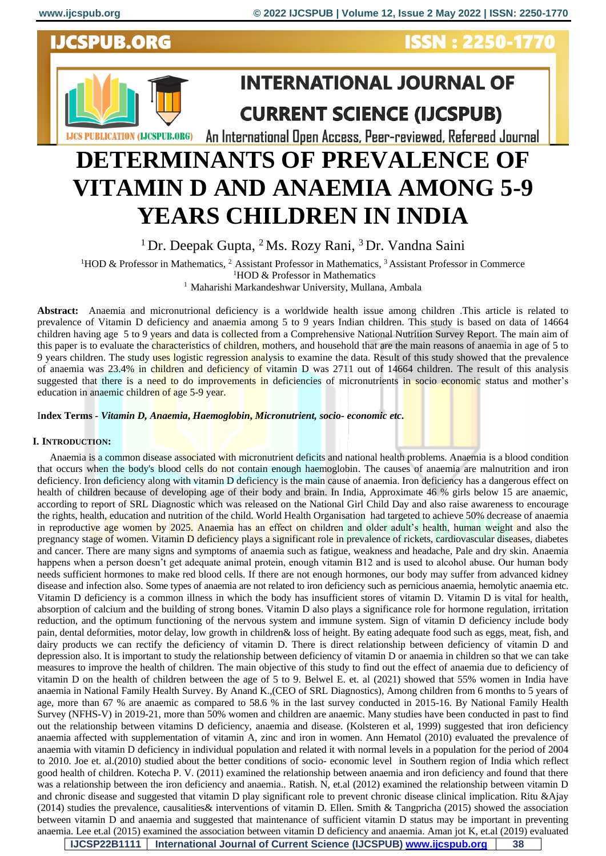

# **VITAMIN D AND ANAEMIA AMONG 5-9 YEARS CHILDREN IN INDIA**

<sup>1</sup> Dr. Deepak Gupta, <sup>2</sup> Ms. Rozy Rani, <sup>3</sup> Dr. Vandna Saini

<sup>1</sup>HOD & Professor in Mathematics, <sup>2</sup> Assistant Professor in Mathematics, <sup>3</sup> Assistant Professor in Commerce

<sup>1</sup>HOD & Professor in Mathematics

<sup>1</sup> Maharishi Markandeshwar University, Mullana, Ambala

**Abstract:** Anaemia and micronutrional deficiency is a worldwide health issue among children .This article is related to prevalence of Vitamin D deficiency and anaemia among 5 to 9 years Indian children. This study is based on data of 14664 children having age 5 to 9 years and data is collected from a Comprehensive National Nutrition Survey Report. The main aim of this paper is to evaluate the characteristics of children, mothers, and household that are the main reasons of anaemia in age of 5 to 9 years children. The study uses logistic regression analysis to examine the data. Result of this study showed that the prevalence of anaemia was 23.4% in children and deficiency of vitamin D was 2711 out of 14664 children. The result of this analysis suggested that there is a need to do improvements in deficiencies of micronutrients in socio economic status and mother's education in anaemic children of age 5-9 year.

I**ndex Terms** *- Vitamin D, Anaemia***,** *Haemoglobin***,** *Micronutrient, socio- economic etc***.**

## **I. INTRODUCTION:**

 Anaemia is a common disease associated with micronutrient deficits and national health problems. Anaemia is a blood condition that occurs when the body's blood cells do not contain enough haemoglobin. The causes of anaemia are malnutrition and iron deficiency. Iron deficiency along with vitamin D deficiency is the main cause of anaemia. Iron deficiency has a dangerous effect on health of children because of developing age of their body and brain. In India, Approximate 46 % girls below 15 are anaemic, according to report of SRL Diagnostic which was released on the National Girl Child Day and also raise awareness to encourage the rights, health, education and nutrition of the child. World Health Organisation had targeted to achieve 50% decrease of anaemia in reproductive age women by 2025. Anaemia has an effect on children and older adult's health, human weight and also the pregnancy stage of women. Vitamin D deficiency plays a significant role in prevalence of rickets, cardiovascular diseases, diabetes and cancer. There are many signs and symptoms of anaemia such as fatigue, weakness and headache, Pale and dry skin. Anaemia happens when a person doesn't get adequate animal protein, enough vitamin B12 and is used to alcohol abuse. Our human body needs sufficient hormones to make red blood cells. If there are not enough hormones, our body may suffer from advanced kidney disease and infection also. Some types of anaemia are not related to iron deficiency such as pernicious anaemia, hemolytic anaemia etc. Vitamin D deficiency is a common illness in which the body has insufficient stores of vitamin D. Vitamin D is vital for health, absorption of calcium and the building of strong bones. Vitamin D also plays a significance role for hormone regulation, irritation reduction, and the optimum functioning of the nervous system and immune system. Sign of vitamin D deficiency include body pain, dental deformities, motor delay, low growth in children& loss of height. By eating adequate food such as eggs, meat, fish, and dairy products we can rectify the deficiency of vitamin D. There is direct relationship between deficiency of vitamin D and depression also. It is important to study the relationship between deficiency of vitamin D or anaemia in children so that we can take measures to improve the health of children. The main objective of this study to find out the effect of anaemia due to deficiency of vitamin D on the health of children between the age of 5 to 9. Belwel E. et. al (2021) showed that 55% women in India have anaemia in National Family Health Survey. By Anand K.,(CEO of SRL Diagnostics), Among children from 6 months to 5 years of age, more than 67 % are anaemic as compared to 58.6 % in the last survey conducted in 2015-16. By National Family Health Survey (NFHS-V) in 2019-21, more than 50% women and children are anaemic. Many studies have been conducted in past to find out the relationship between vitamins D deficiency, anaemia and disease. (Kolsteren et al, 1999) suggested that iron deficiency anaemia affected with supplementation of vitamin A, zinc and iron in women. Ann Hematol (2010) evaluated the prevalence of anaemia with vitamin D deficiency in individual population and related it with normal levels in a population for the period of 2004 to 2010. Joe et. al.(2010) studied about the better conditions of socio- economic level in Southern region of India which reflect good health of children. Kotecha P. V. (2011) examined the relationship between anaemia and iron deficiency and found that there was a relationship between the iron deficiency and anaemia.. Ratish. N, et.al (2012) examined the relationship between vitamin D and chronic disease and suggested that vitamin D play significant role to prevent chronic disease clinical implication. Ritu &Ajay (2014) studies the prevalence, causalities& interventions of vitamin D. Ellen. Smith & Tangpricha (2015) showed the association between vitamin D and anaemia and suggested that maintenance of sufficient vitamin D status may be important in preventing anaemia. Lee et.al (2015) examined the association between vitamin D deficiency and anaemia. Aman jot K, et.al (2019) evaluated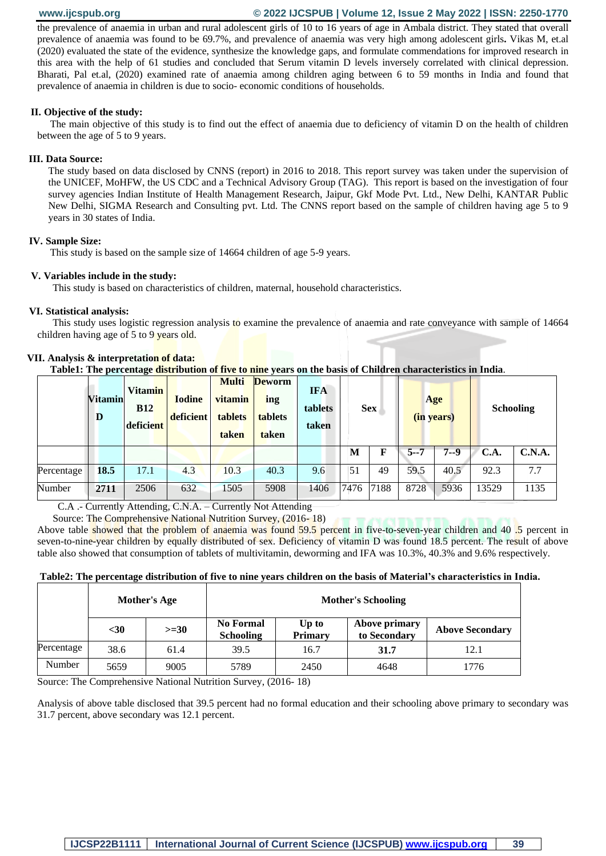# **www.ijcspub.org © 2022 IJCSPUB | Volume 12, Issue 2 May 2022 | ISSN: 2250-1770**

the prevalence of anaemia in urban and rural adolescent girls of 10 to 16 years of age in Ambala district. They stated that overall prevalence of anaemia was found to be 69.7%, and prevalence of anaemia was very high among adolescent girls**.** Vikas M, et.al (2020) evaluated the state of the evidence, synthesize the knowledge gaps, and formulate commendations for improved research in this area with the help of 61 studies and concluded that Serum vitamin D levels inversely correlated with clinical depression. Bharati, Pal et.al, (2020) examined rate of anaemia among children aging between 6 to 59 months in India and found that prevalence of anaemia in children is due to socio- economic conditions of households.

#### **II. Objective of the study:**

 The main objective of this study is to find out the effect of anaemia due to deficiency of vitamin D on the health of children between the age of 5 to 9 years.

#### **III. Data Source:**

The study based on data disclosed by CNNS (report) in 2016 to 2018. This report survey was taken under the supervision of the UNICEF, MoHFW, the US CDC and a Technical Advisory Group (TAG). This report is based on the investigation of four survey agencies Indian Institute of Health Management Research, Jaipur, Gkf Mode Pvt. Ltd., New Delhi, KANTAR Public New Delhi, SIGMA Research and Consulting pvt. Ltd. The CNNS report based on the sample of children having age 5 to 9 years in 30 states of India.

#### **IV. Sample Size:**

This study is based on the sample size of 14664 children of age 5-9 years.

#### **V. Variables include in the study:**

This study is based on characteristics of children, maternal, household characteristics.

#### **VI. Statistical analysis:**

 This study uses logistic regression analysis to examine the prevalence of anaemia and rate conveyance with sample of 14664 children having age of 5 to 9 years old.

|            | <b>Vitamin</b><br>D | <b>Vitamin</b><br><b>B12</b><br>deficient | <b>Iodine</b><br>deficient | <b>Multi</b><br>vitamin<br>tablets<br>taken | <b>Deworm</b><br>ing<br><b>tablets</b><br>taken | <b>IFA</b><br>tablets<br>taken |      | <b>Sex</b> |         | Age<br>(in years) |       | <b>Schooling</b> |
|------------|---------------------|-------------------------------------------|----------------------------|---------------------------------------------|-------------------------------------------------|--------------------------------|------|------------|---------|-------------------|-------|------------------|
|            |                     |                                           |                            |                                             |                                                 |                                | М    | F          | $5 - 7$ | $7 - 9$           | C.A.  | C.N.A.           |
| Percentage | 18.5                | 17.1                                      | 4.3                        | 10.3                                        | 40.3                                            | 9.6                            | 51   | 49         | 59.5    | 40.5              | 92.3  | 7.7              |
| Number     | 2711                | 2506                                      | 632                        | 1505                                        | 5908                                            | 1406                           | 7476 | 7188       | 8728    | 5936              | 13529 | 1135             |

#### **VII. Analysis & interpretation of data:**

 **Table1: The percentage distribution of five to nine years on the basis of Children characteristics in India**.

C.A .- Currently Attending, C.N.A. – Currently Not Attending

Source: The Comprehensive National Nutrition Survey, (2016- 18)

Above table showed that the problem of anaemia was found 59.5 percent in five-to-seven-year children and 40 .5 percent in seven-to-nine-year children by equally distributed of sex. Deficiency of vitamin D was found 18.5 percent. The result of above table also showed that consumption of tablets of multivitamin, deworming and IFA was 10.3%, 40.3% and 9.6% respectively.

#### **Table2: The percentage distribution of five to nine years children on the basis of Material's characteristics in India.**

|            |      | <b>Mother's Age</b> |                                      | <b>Mother's Schooling</b> |                                      |                        |  |  |  |  |  |
|------------|------|---------------------|--------------------------------------|---------------------------|--------------------------------------|------------------------|--|--|--|--|--|
|            | $30$ | $>=30$              | <b>No Formal</b><br><b>Schooling</b> | Up to<br><b>Primary</b>   | <b>Above primary</b><br>to Secondary | <b>Above Secondary</b> |  |  |  |  |  |
| Percentage | 38.6 | 61.4                | 39.5                                 | 16.7                      | 31.7                                 | 12.1                   |  |  |  |  |  |
| Number     | 5659 | 9005                | 5789                                 | 2450                      | 4648                                 | 1776                   |  |  |  |  |  |

Source: The Comprehensive National Nutrition Survey, (2016- 18)

Analysis of above table disclosed that 39.5 percent had no formal education and their schooling above primary to secondary was 31.7 percent, above secondary was 12.1 percent.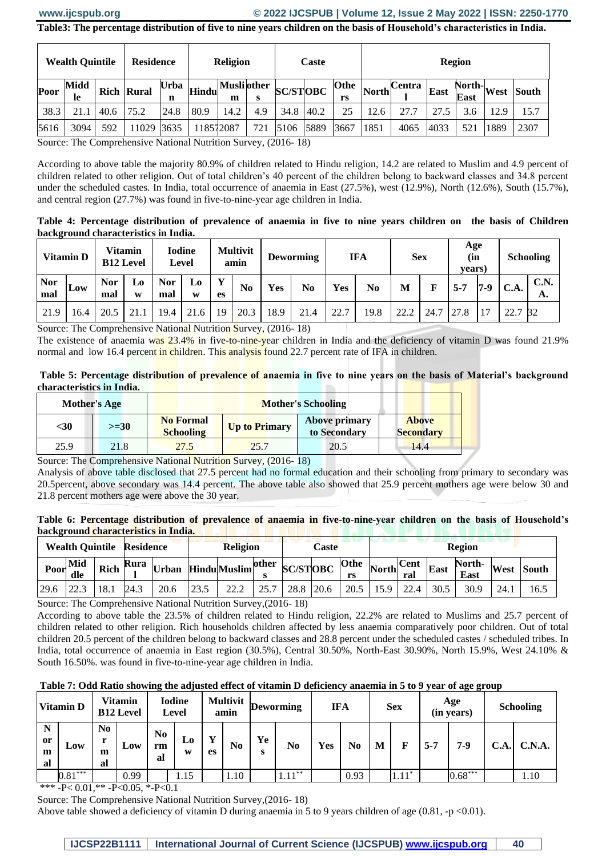#### www.ijcspub.org

# © 2022 IJCSPUB | Volume 12, Issue 2 May 2022 | ISSN: 2250-1770

Table3: The percentage distribution of five to nine years children on the basis of Household's characteristics in India.

| <b>Wealth Quintile</b><br>Midd |      |      | <b>Residence</b>  |                  | <b>Religion</b> |                         |     | Caste           |      |      | <b>Region</b> |                                             |      |                                               |      |              |  |
|--------------------------------|------|------|-------------------|------------------|-----------------|-------------------------|-----|-----------------|------|------|---------------|---------------------------------------------|------|-----------------------------------------------|------|--------------|--|
| Poor                           | le   |      | <b>Rich Rural</b> | <b>Urba</b><br>n | <b>Hindu</b>    | <b>Musli</b> other<br>m | s   | <b>SC/STOBC</b> |      | rs   |               | Othe $\sqrt{\text{North}}^{\text{Central}}$ | East | $\overline{\text{North}}$ West<br><b>East</b> |      | <b>South</b> |  |
| 38.3                           | 21.1 | 40.6 | 75.2              | 24.8             | 80.9            | 14.2                    | 4.9 | 34.8 40.2       |      | 25   | 12.6          | 27.7                                        |      | 3.6                                           | 12.9 | 15.7         |  |
| 5616                           | 3094 | 592  | 11029 3635        |                  | 118572087       |                         | 721 | 5106            | 5889 | 3667 | 1851          | 4065                                        | 4033 | 521                                           | 1889 | 2307         |  |

Source: The Comprehensive National Nutrition Survey, (2016-18)

According to above table the majority 80.9% of children related to Hindu religion, 14.2 are related to Muslim and 4.9 percent of children related to other religion. Out of total children's 40 percent of the children belong to backward classes and 34.8 percent under the scheduled castes. In India, total occurrence of anaemia in East (27.5%), west (12.9%), North (12.6%), South (15.7%), and central region (27.7%) was found in five-to-nine-year age children in India.

Table 4: Percentage distribution of prevalence of anaemia in five to nine years children on the basis of Children background characteristics in India.

| Vitamin D         |      | <b>Vitamin</b><br><b>B12 Level</b> |         | <b>Iodine</b><br>Level |                     | <b>Multivit</b><br>amin |                | <b>Deworming</b> |                | <b>IFA</b> |      | <b>Sex</b> |      | Age<br>(in<br>vears) |     | <b>Schooling</b> |                   |
|-------------------|------|------------------------------------|---------|------------------------|---------------------|-------------------------|----------------|------------------|----------------|------------|------|------------|------|----------------------|-----|------------------|-------------------|
| <b>Nor</b><br>mal | Low  | <b>Nor</b><br>mal                  | L0<br>W | Nor<br>mal             | L <sub>0</sub><br>W | Y<br>es                 | N <sub>0</sub> | Yes              | N <sub>0</sub> | <b>Yes</b> | No   | M          | F    | $5 - 7$              | 7-9 | <b>C.A.</b>      | <b>C.N.</b><br>А. |
| 21.9              | .6.4 | 20.5                               | 21.1    | 19.4                   | 21.6                | 19                      | 20.3           | 18.9             | 21.4           | 22.7       | 19.8 | 22.2       | 24.7 | 27.8                 | 17  | 22.7             | <sup>32</sup>     |

Source: The Comprehensive National Nutrition Survey, (2016-18)

The existence of anaemia was  $23.4\%$  in five-to-nine-year children in India and the deficiency of vitamin D was found 21.9% normal and low 16.4 percent in children. This analysis found 22.7 percent rate of IFA in children.

Table 5: Percentage distribution of prevalence of anaemia in five to nine years on the basis of Material's background **Characteristics in India.** . .

|      | <b>Mother's Age</b> |                                      | <b>Mother's Schooling</b>                                      |                                      |                                  |  |  |  |  |  |  |
|------|---------------------|--------------------------------------|----------------------------------------------------------------|--------------------------------------|----------------------------------|--|--|--|--|--|--|
| $30$ | $>=30$              | <b>No Formal</b><br><b>Schooling</b> | <b>Up to Primary</b>                                           | <b>Above primary</b><br>to Secondary | <b>Above</b><br><b>Secondary</b> |  |  |  |  |  |  |
| 25.9 | 21.8                | 27.5                                 | 25.7                                                           | 20.5                                 | 14.4                             |  |  |  |  |  |  |
|      |                     |                                      | Course: The Comprehensive Nettional Nutrition Survey (2016-19) |                                      |                                  |  |  |  |  |  |  |

Source: The Comprehensive National Nutrition Survey, (2016-18)

Analysis of above table disclosed that 27.5 percent had no formal education and their schooling from primary to secondary was 20.5 percent, above secondary was 14.4 percent. The above table also showed that 25.9 percent mothers age were below 30 and 21.8 percent mothers age were above the 30 year.

Table 6: Percentage distribution of prevalence of anaemia in five-to-nine-year children on the basis of Household's **background characteristics in India.** The contract of the contract of the contract of the contract of the contract of the contract of the contract of the contract of the contract of the contract of the contract of the con

|                   | <b>Wealth Quintile Residence</b> |             |      |              | <b>Religion</b> |                    |  | Caste           |  |                   | <b>Region</b>                       |      |      |                |      |              |  |
|-------------------|----------------------------------|-------------|------|--------------|-----------------|--------------------|--|-----------------|--|-------------------|-------------------------------------|------|------|----------------|------|--------------|--|
| Poor <sup>1</sup> | Mid<br>dle                       | <b>Rich</b> | Rura | <b>Urban</b> |                 | Hindu Muslim other |  | <b>SC/STOBC</b> |  | <b>Othe</b><br>rs | $\sqrt{\text{North}}^{\text{Cent}}$ | ral  | East | North-<br>East | West | <b>South</b> |  |
| 29.6              |                                  | 18.1        | 24.3 | 20.6         | 23.5            | 22.2               |  | 28.8 20.6       |  | 20.5              | 15.9                                | 22.4 | 30.5 | 30.9           | 24.1 | 16.5         |  |

Source: The Comprehensive National Nutrition Survey, (2016-18)

According to above table the 23.5% of children related to Hindu religion, 22.2% are related to Muslims and 25.7 percent of children related to other religion. Rich households children affected by less anaemia comparatively poor children. Out of total children 20.5 percent of the children belong to backward classes and 28.8 percent under the scheduled castes / scheduled tribes. In India, total occurrence of anaemia in East region (30.5%), Central 30.50%, North-East 30.90%, North 15.9%, West 24.10% & South 16.50%. was found in five-to-nine-year age children in India.

Table 7: Odd Ratio showing the adjusted effect of vitamin D deficiency anaemia in 5 to 9 year of age group

| <b>Vitamin D</b>   |           | Vitamin<br><b>B12 Level</b> |      | <b>Iodine</b><br>Level     |         | <b>Multivit</b><br>amin |                | <b>Deworming</b> |           | <b>IFA</b> |      | <b>Sex</b> |         | Age<br>(in years) |           | <b>Schooling</b> |        |
|--------------------|-----------|-----------------------------|------|----------------------------|---------|-------------------------|----------------|------------------|-----------|------------|------|------------|---------|-------------------|-----------|------------------|--------|
| N<br>or<br>m<br>al | Low       | No.<br>r<br>m<br>al         | Low  | N <sub>0</sub><br>rm<br>al | Lo<br>W | $\mathbf{v}$<br>es      | N <sub>0</sub> | Ye<br>s          | No        | Yes        | No   | M          |         | $5 - 7$           | 7-9       | C.A              | C.N.A. |
|                    | $0.81***$ |                             | 0.99 |                            | 1.15    |                         | 1.10           |                  | $1.11***$ |            | 0.93 |            | $1.11*$ |                   | $0.68***$ |                  | 1.10   |

\*\*\* -P< 0.01,\*\* -P<0.05, \*-P<0.1

Source: The Comprehensive National Nutrition Survey, (2016-18)

Above table showed a deficiency of vitamin D during anaemia in 5 to 9 years children of age  $(0.81, -p < 0.01)$ .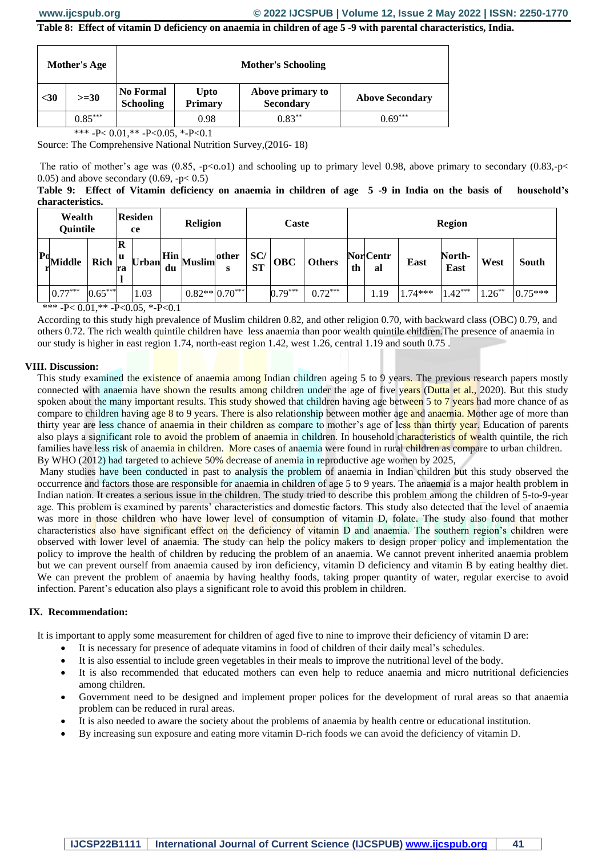# **Table 8: Effect of vitamin D deficiency on anaemia in children of age 5 -9 with parental characteristics, India.**

|      | <b>Mother's Age</b> |                                      |                               | <b>Mother's Schooling</b>            |                        |
|------|---------------------|--------------------------------------|-------------------------------|--------------------------------------|------------------------|
| $30$ | $>=30$              | <b>No Formal</b><br><b>Schooling</b> | <b>Upto</b><br><b>Primary</b> | Above primary to<br><b>Secondary</b> | <b>Above Secondary</b> |
|      | $0.85***$           |                                      | 0.98                          | $0.83***$                            | $0.69***$              |

\*\*\* -P<  $0.01$ ,\*\* -P< $0.05$ , \*-P< $0.1$ 

Source: The Comprehensive National Nutrition Survey,(2016- 18)

The ratio of mother's age was  $(0.85, -p<0.01)$  and schooling up to primary level 0.98, above primary to secondary  $(0.83, -p<0.01)$ 0.05) and above secondary  $(0.69, -p< 0.5)$ 

**Table 9: Effect of Vitamin deficiency on anaemia in children of age 5 -9 in India on the basis of household's characteristics.**

| Wealth<br>Quintile |           |                           | <b>Residen</b><br>ce |    | <b>Religion</b>                                    |            | Caste<br><b>Region</b> |            |               |    |                        |           |                |          |           |
|--------------------|-----------|---------------------------|----------------------|----|----------------------------------------------------|------------|------------------------|------------|---------------|----|------------------------|-----------|----------------|----------|-----------|
| $Pd$ Middle        | Rich      | R<br>  <sub>u</sub><br>ra | <b>Urban</b>         | du | $\frac{1}{2}$ Hin $\frac{1}{2}$ Muslim $^{\prime}$ | other<br>S | SC/<br><b>ST</b>       | <b>OBC</b> | <b>Others</b> | th | <b>Nor</b> Centr<br>al | East      | North-<br>East | West     | South     |
| $0.77***$          | $0.65***$ |                           | 1.03                 |    | $0.82** 0.70***$                                   |            |                        | $0.79***$  | $0.72***$     |    | . 19                   | $1.74***$ | $1.42***$      | $.26***$ | $0.75***$ |

\*\*\* -P<  $0.01$ .\*\* -P< $0.05$ , \*-P< $0.1$ 

According to this study high prevalence of Muslim children 0.82, and other religion 0.70, with backward class (OBC) 0.79, and others 0.72. The rich wealth quintile children have less anaemia than poor wealth quintile children.The presence of anaemia in our study is higher in east region 1.74, north-east region 1.42, west 1.26, central 1.19 and south 0.75 .

## **VIII. Discussion:**

This study examined the existence of anaemia among Indian children ageing 5 to 9 years. The previous research papers mostly connected with anaemia have shown the results among children under the age of five years (Dutta et al., 2020). But this study spoken about the many important results. This study showed that children having age between 5 to 7 years had more chance of as compare to children having age 8 to 9 years. There is also relationship between mother age and anaemia. Mother age of more than thirty year are less chance of anaemia in their children as compare to mother's age of less than thirty year. Education of parents also plays a significant role to avoid the problem of anaemia in children. In household characteristics of wealth quintile, the rich families have less risk of anaemia in children. More cases of anaemia were found in rural children as compare to urban children. By WHO (2012) had targeted to achieve 50% decrease of anemia in reproductive age women by 2025,

Many studies have been conducted in past to analysis the problem of anaemia in Indian children but this study observed the occurrence and factors those are responsible for anaemia in children of age 5 to 9 years. The anaemia is a major health problem in Indian nation. It creates a serious issue in the children. The study tried to describe this problem among the children of 5-to-9-year age. This problem is examined by parents' characteristics and domestic factors. This study also detected that the level of anaemia was more in those children who have lower level of consumption of vitamin D, folate. The study also found that mother characteristics also have significant effect on the deficiency of vitamin D and anaemia. The southern region's children were observed with lower level of anaemia. The study can help the policy makers to design proper policy and implementation the policy to improve the health of children by reducing the problem of an anaemia. We cannot prevent inherited anaemia problem but we can prevent ourself from anaemia caused by iron deficiency, vitamin D deficiency and vitamin B by eating healthy diet. We can prevent the problem of anaemia by having healthy foods, taking proper quantity of water, regular exercise to avoid infection. Parent's education also plays a significant role to avoid this problem in children.

## **IX. Recommendation:**

It is important to apply some measurement for children of aged five to nine to improve their deficiency of vitamin D are:

- It is necessary for presence of adequate vitamins in food of children of their daily meal's schedules.
- It is also essential to include green vegetables in their meals to improve the nutritional level of the body.
- It is also recommended that educated mothers can even help to reduce anaemia and micro nutritional deficiencies among children.
- Government need to be designed and implement proper polices for the development of rural areas so that anaemia problem can be reduced in rural areas.
- It is also needed to aware the society about the problems of anaemia by health centre or educational institution.
- By increasing sun exposure and eating more vitamin D-rich foods we can avoid the deficiency of vitamin D.